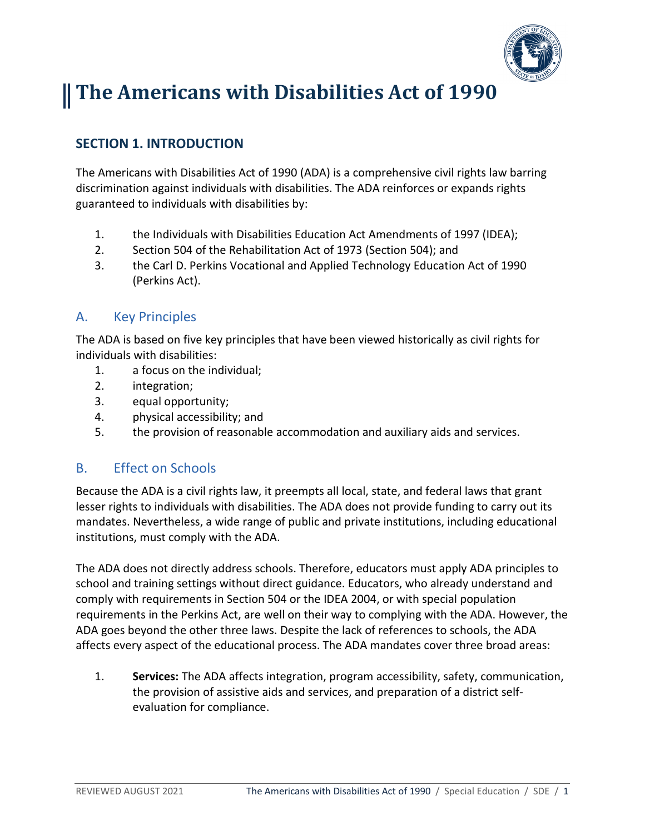

# **The Americans with Disabilities Act of 1990**

# **SECTION 1. INTRODUCTION**

The Americans with Disabilities Act of 1990 (ADA) is a comprehensive civil rights law barring discrimination against individuals with disabilities. The ADA reinforces or expands rights guaranteed to individuals with disabilities by:

- 1. the Individuals with Disabilities Education Act Amendments of 1997 (IDEA);
- 2. Section 504 of the Rehabilitation Act of 1973 (Section 504); and
- 3. the Carl D. Perkins Vocational and Applied Technology Education Act of 1990 (Perkins Act).

#### A. Key Principles

The ADA is based on five key principles that have been viewed historically as civil rights for individuals with disabilities:

- 1. a focus on the individual;
- 2. integration;
- 3. equal opportunity;
- 4. physical accessibility; and
- 5. the provision of reasonable accommodation and auxiliary aids and services.

#### B. Effect on Schools

Because the ADA is a civil rights law, it preempts all local, state, and federal laws that grant lesser rights to individuals with disabilities. The ADA does not provide funding to carry out its mandates. Nevertheless, a wide range of public and private institutions, including educational institutions, must comply with the ADA.

The ADA does not directly address schools. Therefore, educators must apply ADA principles to school and training settings without direct guidance. Educators, who already understand and comply with requirements in Section 504 or the IDEA 2004, or with special population requirements in the Perkins Act, are well on their way to complying with the ADA. However, the ADA goes beyond the other three laws. Despite the lack of references to schools, the ADA affects every aspect of the educational process. The ADA mandates cover three broad areas:

1. **Services:** The ADA affects integration, program accessibility, safety, communication, the provision of assistive aids and services, and preparation of a district selfevaluation for compliance.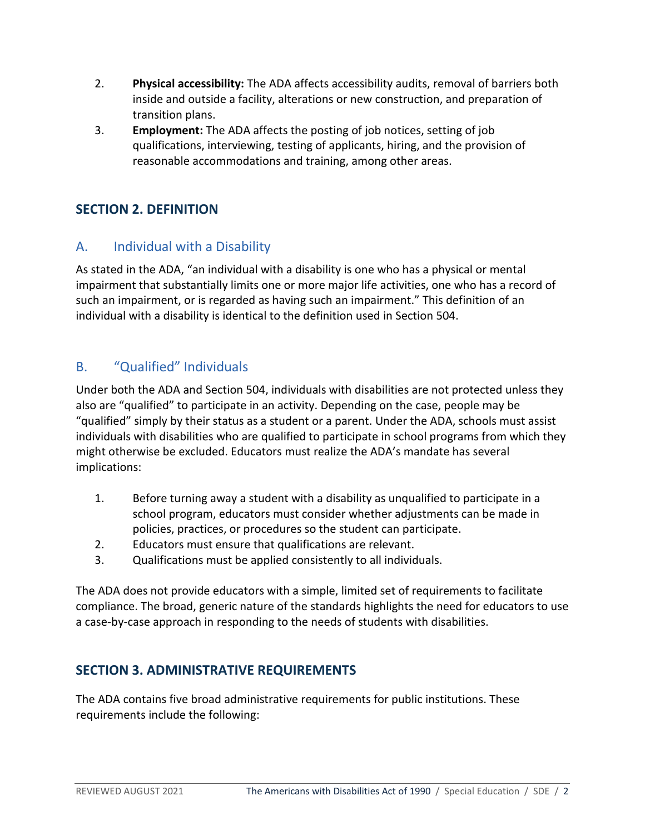- 2. **Physical accessibility:** The ADA affects accessibility audits, removal of barriers both inside and outside a facility, alterations or new construction, and preparation of transition plans.
- 3. **Employment:** The ADA affects the posting of job notices, setting of job qualifications, interviewing, testing of applicants, hiring, and the provision of reasonable accommodations and training, among other areas.

## **SECTION 2. DEFINITION**

## A. Individual with a Disability

As stated in the ADA, "an individual with a disability is one who has a physical or mental impairment that substantially limits one or more major life activities, one who has a record of such an impairment, or is regarded as having such an impairment." This definition of an individual with a disability is identical to the definition used in Section 504.

## B. "Qualified" Individuals

Under both the ADA and Section 504, individuals with disabilities are not protected unless they also are "qualified" to participate in an activity. Depending on the case, people may be "qualified" simply by their status as a student or a parent. Under the ADA, schools must assist individuals with disabilities who are qualified to participate in school programs from which they might otherwise be excluded. Educators must realize the ADA's mandate has several implications:

- 1. Before turning away a student with a disability as unqualified to participate in a school program, educators must consider whether adjustments can be made in policies, practices, or procedures so the student can participate.
- 2. Educators must ensure that qualifications are relevant.
- 3. Qualifications must be applied consistently to all individuals.

The ADA does not provide educators with a simple, limited set of requirements to facilitate compliance. The broad, generic nature of the standards highlights the need for educators to use a case-by-case approach in responding to the needs of students with disabilities.

## **SECTION 3. ADMINISTRATIVE REQUIREMENTS**

The ADA contains five broad administrative requirements for public institutions. These requirements include the following: